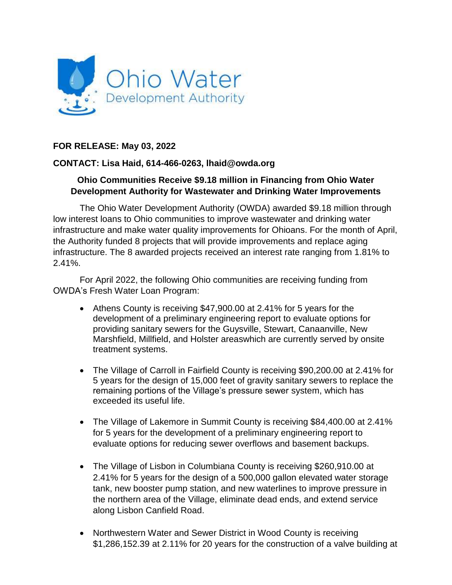

## **FOR RELEASE: May 03, 2022**

## **CONTACT: Lisa Haid, 614-466-0263, lhaid@owda.org**

## **Ohio Communities Receive \$9.18 million in Financing from Ohio Water Development Authority for Wastewater and Drinking Water Improvements**

The Ohio Water Development Authority (OWDA) awarded \$9.18 million through low interest loans to Ohio communities to improve wastewater and drinking water infrastructure and make water quality improvements for Ohioans. For the month of April, the Authority funded 8 projects that will provide improvements and replace aging infrastructure. The 8 awarded projects received an interest rate ranging from 1.81% to 2.41%.

For April 2022, the following Ohio communities are receiving funding from OWDA's Fresh Water Loan Program:

- Athens County is receiving \$47,900.00 at 2.41% for 5 years for the development of a preliminary engineering report to evaluate options for providing sanitary sewers for the Guysville, Stewart, Canaanville, New Marshfield, Millfield, and Holster areaswhich are currently served by onsite treatment systems.
- The Village of Carroll in Fairfield County is receiving \$90,200.00 at 2.41% for 5 years for the design of 15,000 feet of gravity sanitary sewers to replace the remaining portions of the Village's pressure sewer system, which has exceeded its useful life.
- The Village of Lakemore in Summit County is receiving \$84,400.00 at 2.41% for 5 years for the development of a preliminary engineering report to evaluate options for reducing sewer overflows and basement backups.
- The Village of Lisbon in Columbiana County is receiving \$260,910.00 at 2.41% for 5 years for the design of a 500,000 gallon elevated water storage tank, new booster pump station, and new waterlines to improve pressure in the northern area of the Village, eliminate dead ends, and extend service along Lisbon Canfield Road.
- Northwestern Water and Sewer District in Wood County is receiving \$1,286,152.39 at 2.11% for 20 years for the construction of a valve building at